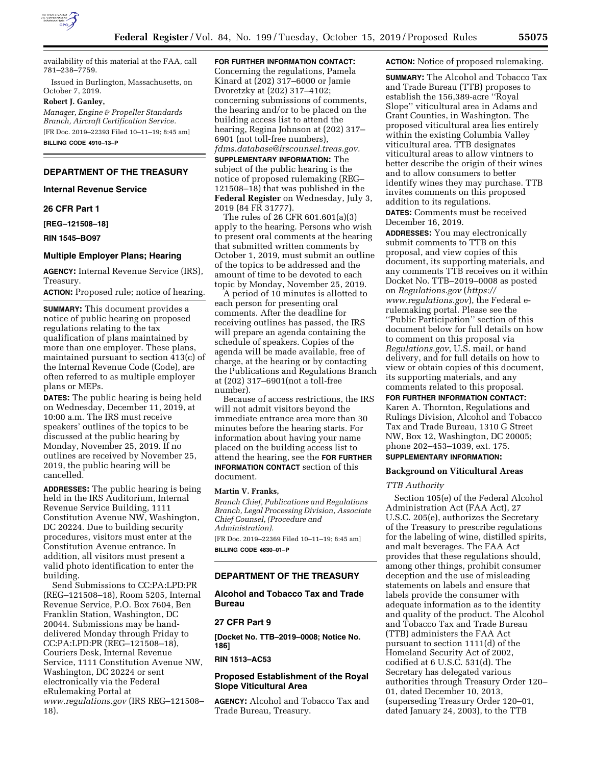

availability of this material at the FAA, call 781–238–7759.

Issued in Burlington, Massachusetts, on October 7, 2019.

#### **Robert J. Ganley,**

*Manager, Engine & Propeller Standards Branch, Aircraft Certification Service.*  [FR Doc. 2019–22393 Filed 10–11–19; 8:45 am] **BILLING CODE 4910–13–P** 

## **DEPARTMENT OF THE TREASURY**

**Internal Revenue Service** 

## **26 CFR Part 1**

**[REG–121508–18]** 

**RIN 1545–BO97** 

## **Multiple Employer Plans; Hearing**

**AGENCY:** Internal Revenue Service (IRS), Treasury.

**ACTION:** Proposed rule; notice of hearing.

**SUMMARY:** This document provides a notice of public hearing on proposed regulations relating to the tax qualification of plans maintained by more than one employer. These plans, maintained pursuant to section 413(c) of the Internal Revenue Code (Code), are often referred to as multiple employer plans or MEPs.

**DATES:** The public hearing is being held on Wednesday, December 11, 2019, at 10:00 a.m. The IRS must receive speakers' outlines of the topics to be discussed at the public hearing by Monday, November 25, 2019. If no outlines are received by November 25, 2019, the public hearing will be cancelled.

**ADDRESSES:** The public hearing is being held in the IRS Auditorium, Internal Revenue Service Building, 1111 Constitution Avenue NW, Washington, DC 20224. Due to building security procedures, visitors must enter at the Constitution Avenue entrance. In addition, all visitors must present a valid photo identification to enter the building.

Send Submissions to CC:PA:LPD:PR (REG–121508–18), Room 5205, Internal Revenue Service, P.O. Box 7604, Ben Franklin Station, Washington, DC 20044. Submissions may be handdelivered Monday through Friday to CC:PA:LPD:PR (REG–121508–18), Couriers Desk, Internal Revenue Service, 1111 Constitution Avenue NW, Washington, DC 20224 or sent electronically via the Federal eRulemaking Portal at *[www.regulations.gov](http://www.regulations.gov)* (IRS REG–121508– 18).

## **FOR FURTHER INFORMATION CONTACT:**

Concerning the regulations, Pamela Kinard at (202) 317–6000 or Jamie Dvoretzky at (202) 317–4102; concerning submissions of comments, the hearing and/or to be placed on the building access list to attend the hearing, Regina Johnson at (202) 317– 6901 (not toll-free numbers), *[fdms.database@irscounsel.treas.gov.](mailto:fdms.database@irscounsel.treas.gov)* 

**SUPPLEMENTARY INFORMATION:** The subject of the public hearing is the notice of proposed rulemaking (REG– 121508–18) that was published in the **Federal Register** on Wednesday, July 3, 2019 (84 FR 31777).

The rules of 26 CFR 601.601(a)(3) apply to the hearing. Persons who wish to present oral comments at the hearing that submitted written comments by October 1, 2019, must submit an outline of the topics to be addressed and the amount of time to be devoted to each topic by Monday, November 25, 2019.

A period of 10 minutes is allotted to each person for presenting oral comments. After the deadline for receiving outlines has passed, the IRS will prepare an agenda containing the schedule of speakers. Copies of the agenda will be made available, free of charge, at the hearing or by contacting the Publications and Regulations Branch at (202) 317–6901(not a toll-free number).

Because of access restrictions, the IRS will not admit visitors beyond the immediate entrance area more than 30 minutes before the hearing starts. For information about having your name placed on the building access list to attend the hearing, see the **FOR FURTHER INFORMATION CONTACT** section of this document.

#### **Martin V. Franks,**

*Branch Chief, Publications and Regulations Branch, Legal Processing Division, Associate Chief Counsel, (Procedure and Administration).*  [FR Doc. 2019–22369 Filed 10–11–19; 8:45 am] **BILLING CODE 4830–01–P** 

### **DEPARTMENT OF THE TREASURY**

**Alcohol and Tobacco Tax and Trade Bureau** 

## **27 CFR Part 9**

**[Docket No. TTB–2019–0008; Notice No. 186]** 

**RIN 1513–AC53** 

## **Proposed Establishment of the Royal Slope Viticultural Area**

**AGENCY:** Alcohol and Tobacco Tax and Trade Bureau, Treasury.

#### **ACTION:** Notice of proposed rulemaking.

**SUMMARY:** The Alcohol and Tobacco Tax and Trade Bureau (TTB) proposes to establish the 156,389-acre ''Royal Slope'' viticultural area in Adams and Grant Counties, in Washington. The proposed viticultural area lies entirely within the existing Columbia Valley viticultural area. TTB designates viticultural areas to allow vintners to better describe the origin of their wines and to allow consumers to better identify wines they may purchase. TTB invites comments on this proposed addition to its regulations.

**DATES:** Comments must be received December 16, 2019.

**ADDRESSES:** You may electronically submit comments to TTB on this proposal, and view copies of this document, its supporting materials, and any comments TTB receives on it within Docket No. TTB–2019–0008 as posted on *Regulations.gov* (*[https://](https://www.regulations.gov) [www.regulations.gov](https://www.regulations.gov)*), the Federal erulemaking portal. Please see the ''Public Participation'' section of this document below for full details on how to comment on this proposal via *Regulations.gov*, U.S. mail, or hand delivery, and for full details on how to view or obtain copies of this document, its supporting materials, and any comments related to this proposal.

**FOR FURTHER INFORMATION CONTACT:** 

Karen A. Thornton, Regulations and Rulings Division, Alcohol and Tobacco Tax and Trade Bureau, 1310 G Street NW, Box 12, Washington, DC 20005; phone 202–453–1039, ext. 175.

# **SUPPLEMENTARY INFORMATION:**

## **Background on Viticultural Areas**

#### *TTB Authority*

Section 105(e) of the Federal Alcohol Administration Act (FAA Act), 27 U.S.C. 205(e), authorizes the Secretary of the Treasury to prescribe regulations for the labeling of wine, distilled spirits, and malt beverages. The FAA Act provides that these regulations should, among other things, prohibit consumer deception and the use of misleading statements on labels and ensure that labels provide the consumer with adequate information as to the identity and quality of the product. The Alcohol and Tobacco Tax and Trade Bureau (TTB) administers the FAA Act pursuant to section 1111(d) of the Homeland Security Act of 2002, codified at 6 U.S.C. 531(d). The Secretary has delegated various authorities through Treasury Order 120– 01, dated December 10, 2013, (superseding Treasury Order 120–01, dated January 24, 2003), to the TTB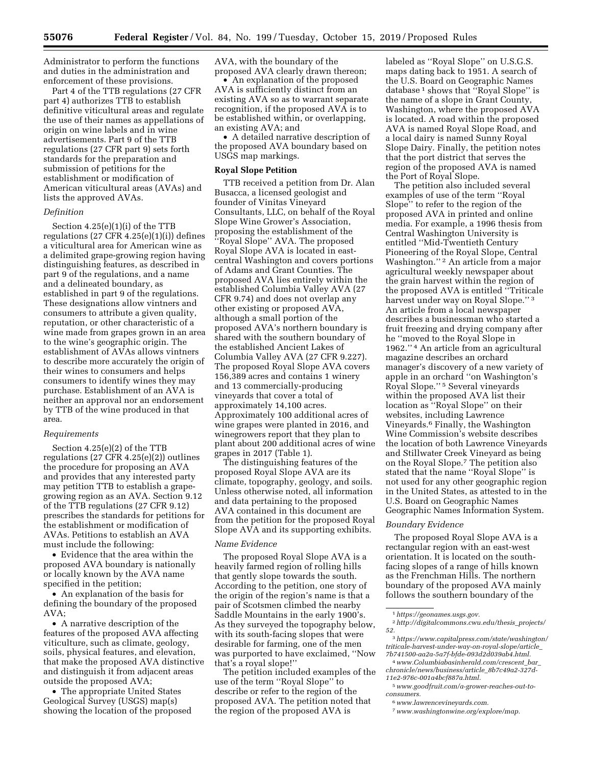Administrator to perform the functions and duties in the administration and enforcement of these provisions.

Part 4 of the TTB regulations (27 CFR part 4) authorizes TTB to establish definitive viticultural areas and regulate the use of their names as appellations of origin on wine labels and in wine advertisements. Part 9 of the TTB regulations (27 CFR part 9) sets forth standards for the preparation and submission of petitions for the establishment or modification of American viticultural areas (AVAs) and lists the approved AVAs.

## *Definition*

Section 4.25(e)(1)(i) of the TTB regulations (27 CFR 4.25(e)(1)(i)) defines a viticultural area for American wine as a delimited grape-growing region having distinguishing features, as described in part 9 of the regulations, and a name and a delineated boundary, as established in part 9 of the regulations. These designations allow vintners and consumers to attribute a given quality, reputation, or other characteristic of a wine made from grapes grown in an area to the wine's geographic origin. The establishment of AVAs allows vintners to describe more accurately the origin of their wines to consumers and helps consumers to identify wines they may purchase. Establishment of an AVA is neither an approval nor an endorsement by TTB of the wine produced in that area.

### *Requirements*

Section 4.25(e)(2) of the TTB regulations (27 CFR 4.25(e)(2)) outlines the procedure for proposing an AVA and provides that any interested party may petition TTB to establish a grapegrowing region as an AVA. Section 9.12 of the TTB regulations (27 CFR 9.12) prescribes the standards for petitions for the establishment or modification of AVAs. Petitions to establish an AVA must include the following:

• Evidence that the area within the proposed AVA boundary is nationally or locally known by the AVA name specified in the petition;

• An explanation of the basis for defining the boundary of the proposed AVA;

• A narrative description of the features of the proposed AVA affecting viticulture, such as climate, geology, soils, physical features, and elevation, that make the proposed AVA distinctive and distinguish it from adjacent areas outside the proposed AVA;

• The appropriate United States Geological Survey (USGS) map(s) showing the location of the proposed AVA, with the boundary of the proposed AVA clearly drawn thereon;

• An explanation of the proposed AVA is sufficiently distinct from an existing AVA so as to warrant separate recognition, if the proposed AVA is to be established within, or overlapping, an existing AVA; and

• A detailed narrative description of the proposed AVA boundary based on USGS map markings.

#### **Royal Slope Petition**

TTB received a petition from Dr. Alan Busacca, a licensed geologist and founder of Vinitas Vineyard Consultants, LLC, on behalf of the Royal Slope Wine Grower's Association, proposing the establishment of the ''Royal Slope'' AVA. The proposed Royal Slope AVA is located in eastcentral Washington and covers portions of Adams and Grant Counties. The proposed AVA lies entirely within the established Columbia Valley AVA (27 CFR 9.74) and does not overlap any other existing or proposed AVA, although a small portion of the proposed AVA's northern boundary is shared with the southern boundary of the established Ancient Lakes of Columbia Valley AVA (27 CFR 9.227). The proposed Royal Slope AVA covers 156,389 acres and contains 1 winery and 13 commercially-producing vineyards that cover a total of approximately 14,100 acres. Approximately 100 additional acres of wine grapes were planted in 2016, and winegrowers report that they plan to plant about 200 additional acres of wine grapes in 2017 (Table 1).

The distinguishing features of the proposed Royal Slope AVA are its climate, topography, geology, and soils. Unless otherwise noted, all information and data pertaining to the proposed AVA contained in this document are from the petition for the proposed Royal Slope AVA and its supporting exhibits.

#### *Name Evidence*

The proposed Royal Slope AVA is a heavily farmed region of rolling hills that gently slope towards the south. According to the petition, one story of the origin of the region's name is that a pair of Scotsmen climbed the nearby Saddle Mountains in the early 1900's. As they surveyed the topography below, with its south-facing slopes that were desirable for farming, one of the men was purported to have exclaimed, ''Now that's a royal slope!''

The petition included examples of the use of the term ''Royal Slope'' to describe or refer to the region of the proposed AVA. The petition noted that the region of the proposed AVA is

labeled as ''Royal Slope'' on U.S.G.S. maps dating back to 1951. A search of the U.S. Board on Geographic Names database 1 shows that ''Royal Slope'' is the name of a slope in Grant County, Washington, where the proposed AVA is located. A road within the proposed AVA is named Royal Slope Road, and a local dairy is named Sunny Royal Slope Dairy. Finally, the petition notes that the port district that serves the region of the proposed AVA is named the Port of Royal Slope.

The petition also included several examples of use of the term ''Royal Slope'' to refer to the region of the proposed AVA in printed and online media. For example, a 1996 thesis from Central Washington University is entitled ''Mid-Twentieth Century Pioneering of the Royal Slope, Central Washington.'' 2 An article from a major agricultural weekly newspaper about the grain harvest within the region of the proposed AVA is entitled ''Triticale harvest under way on Royal Slope.'' 3 An article from a local newspaper describes a businessman who started a fruit freezing and drying company after he ''moved to the Royal Slope in 1962.'' 4 An article from an agricultural magazine describes an orchard manager's discovery of a new variety of apple in an orchard ''on Washington's Royal Slope.'' 5 Several vineyards within the proposed AVA list their location as ''Royal Slope'' on their websites, including Lawrence Vineyards.6 Finally, the Washington Wine Commission's website describes the location of both Lawrence Vineyards and Stillwater Creek Vineyard as being on the Royal Slope.7 The petition also stated that the name ''Royal Slope'' is not used for any other geographic region in the United States, as attested to in the U.S. Board on Geographic Names Geographic Names Information System.

#### *Boundary Evidence*

The proposed Royal Slope AVA is a rectangular region with an east-west orientation. It is located on the southfacing slopes of a range of hills known as the Frenchman Hills. The northern boundary of the proposed AVA mainly follows the southern boundary of the

<sup>1</sup>*[https://geonames.usgs.gov.](https://geonames.usgs.gov)* 

<sup>2</sup>*[http://digitalcommons.cwu.edu/thesis](http://digitalcommons.cwu.edu/thesis_projects/52)*\_*projects/ [52.](http://digitalcommons.cwu.edu/thesis_projects/52)* 

<sup>3</sup>*[https://www.capitalpress.com/state/washington/](https://www.capitalpress.com/state/washington/triticale-harvest-under-way-on-royal-slope/article_7b741500-aa2a-5a7f-bfde-093d2d039ab4.html)  [triticale-harvest-under-way-on-royal-slope/article](https://www.capitalpress.com/state/washington/triticale-harvest-under-way-on-royal-slope/article_7b741500-aa2a-5a7f-bfde-093d2d039ab4.html)*\_ *[7b741500-aa2a-5a7f-bfde-093d2d039ab4.html.](https://www.capitalpress.com/state/washington/triticale-harvest-under-way-on-royal-slope/article_7b741500-aa2a-5a7f-bfde-093d2d039ab4.html)* 

<sup>4</sup>*[www.Columbiabasinherald.com/crescent](http://www.Columbiabasinherald.com/crescent_bar_chronicle/news/business/article_8b7c49a2-327d-11e2-976c-001a4bcf887a.html)*\_*bar*\_ *[chronicle/news/business/article](http://www.Columbiabasinherald.com/crescent_bar_chronicle/news/business/article_8b7c49a2-327d-11e2-976c-001a4bcf887a.html)*\_*8b7c49a2-327d-[11e2-976c-001a4bcf887a.html.](http://www.Columbiabasinherald.com/crescent_bar_chronicle/news/business/article_8b7c49a2-327d-11e2-976c-001a4bcf887a.html)* 

<sup>5</sup>*[www.goodfruit.com/a-grower-reaches-out-to](http://www.goodfruit.com/a-grower-reaches-out-to-consumers)[consumers.](http://www.goodfruit.com/a-grower-reaches-out-to-consumers)* 

<sup>6</sup>*[www.lawrencevineyards.com.](http://www.lawrencevineyards.com)* 

<sup>7</sup>*[www.washingtonwine.org/explore/map.](http://www.washingtonwine.org/explore/map)*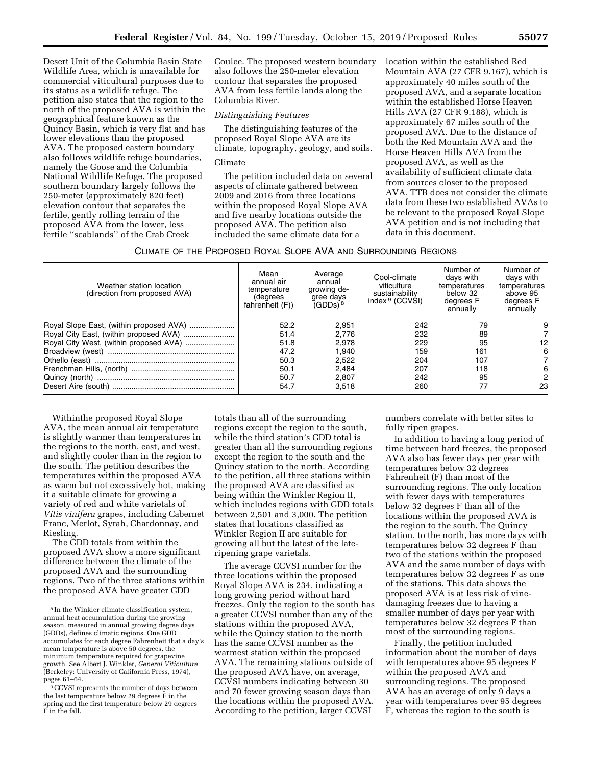Desert Unit of the Columbia Basin State Wildlife Area, which is unavailable for commercial viticultural purposes due to its status as a wildlife refuge. The petition also states that the region to the north of the proposed AVA is within the geographical feature known as the Quincy Basin, which is very flat and has lower elevations than the proposed AVA. The proposed eastern boundary also follows wildlife refuge boundaries, namely the Goose and the Columbia National Wildlife Refuge. The proposed southern boundary largely follows the 250-meter (approximately 820 feet) elevation contour that separates the fertile, gently rolling terrain of the proposed AVA from the lower, less fertile ''scablands'' of the Crab Creek

Coulee. The proposed western boundary also follows the 250-meter elevation contour that separates the proposed AVA from less fertile lands along the Columbia River.

## *Distinguishing Features*

The distinguishing features of the proposed Royal Slope AVA are its climate, topography, geology, and soils.

## Climate

The petition included data on several aspects of climate gathered between 2009 and 2016 from three locations within the proposed Royal Slope AVA and five nearby locations outside the proposed AVA. The petition also included the same climate data for a

location within the established Red Mountain AVA (27 CFR 9.167), which is approximately 40 miles south of the proposed AVA, and a separate location within the established Horse Heaven Hills AVA (27 CFR 9.188), which is approximately 67 miles south of the proposed AVA. Due to the distance of both the Red Mountain AVA and the Horse Heaven Hills AVA from the proposed AVA, as well as the availability of sufficient climate data from sources closer to the proposed AVA, TTB does not consider the climate data from these two established AVAs to be relevant to the proposed Royal Slope AVA petition and is not including that data in this document.

| CLIMATE OF THE PROPOSED ROYAL SLOPE AVA AND SURROUNDING REGIONS |  |
|-----------------------------------------------------------------|--|
|-----------------------------------------------------------------|--|

| Weather station location<br>(direction from proposed AVA) | Mean<br>annual air<br>temperature<br>(degrees<br>fahrenheit (F)) | Average<br>annual<br>growing de-<br>gree days<br>$(GDDs)^8$ | Cool-climate<br>viticulture<br>sustainability<br>index <sup>9</sup> (CCVSI) | Number of<br>davs with<br>temperatures<br>below 32<br>degrees F<br>annually | Number of<br>days with<br>temperatures<br>above 95<br>degrees F<br>annually |
|-----------------------------------------------------------|------------------------------------------------------------------|-------------------------------------------------------------|-----------------------------------------------------------------------------|-----------------------------------------------------------------------------|-----------------------------------------------------------------------------|
|                                                           | 52.2                                                             | 2,951                                                       | 242                                                                         | 79                                                                          |                                                                             |
|                                                           | 51.4                                                             | 2.776                                                       | 232                                                                         | 89                                                                          |                                                                             |
|                                                           | 51.8                                                             | 2,978                                                       | 229                                                                         | 95                                                                          | 12                                                                          |
|                                                           | 47.2                                                             | 1,940                                                       | 159                                                                         | 161                                                                         | 6                                                                           |
|                                                           | 50.3                                                             | 2,522                                                       | 204                                                                         | 107                                                                         |                                                                             |
|                                                           | 50.1                                                             | 2.484                                                       | 207                                                                         | 118                                                                         | 6                                                                           |
|                                                           | 50.7                                                             | 2.807                                                       | 242                                                                         | 95                                                                          |                                                                             |
|                                                           | 54.7                                                             | 3,518                                                       | 260                                                                         | 77                                                                          | 23                                                                          |

Withinthe proposed Royal Slope AVA, the mean annual air temperature is slightly warmer than temperatures in the regions to the north, east, and west, and slightly cooler than in the region to the south. The petition describes the temperatures within the proposed AVA as warm but not excessively hot, making it a suitable climate for growing a variety of red and white varietals of *Vitis vinifera* grapes, including Cabernet Franc, Merlot, Syrah, Chardonnay, and Riesling.

The GDD totals from within the proposed AVA show a more significant difference between the climate of the proposed AVA and the surrounding regions. Two of the three stations within the proposed AVA have greater GDD

totals than all of the surrounding regions except the region to the south, while the third station's GDD total is greater than all the surrounding regions except the region to the south and the Quincy station to the north. According to the petition, all three stations within the proposed AVA are classified as being within the Winkler Region II, which includes regions with GDD totals between 2,501 and 3,000. The petition states that locations classified as Winkler Region II are suitable for growing all but the latest of the lateripening grape varietals.

The average CCVSI number for the three locations within the proposed Royal Slope AVA is 234, indicating a long growing period without hard freezes. Only the region to the south has a greater CCVSI number than any of the stations within the proposed AVA, while the Quincy station to the north has the same CCVSI number as the warmest station within the proposed AVA. The remaining stations outside of the proposed AVA have, on average, CCVSI numbers indicating between 30 and 70 fewer growing season days than the locations within the proposed AVA. According to the petition, larger CCVSI

numbers correlate with better sites to fully ripen grapes.

In addition to having a long period of time between hard freezes, the proposed AVA also has fewer days per year with temperatures below 32 degrees Fahrenheit (F) than most of the surrounding regions. The only location with fewer days with temperatures below 32 degrees F than all of the locations within the proposed AVA is the region to the south. The Quincy station, to the north, has more days with temperatures below 32 degrees F than two of the stations within the proposed AVA and the same number of days with temperatures below 32 degrees F as one of the stations. This data shows the proposed AVA is at less risk of vinedamaging freezes due to having a smaller number of days per year with temperatures below 32 degrees F than most of the surrounding regions.

Finally, the petition included information about the number of days with temperatures above 95 degrees F within the proposed AVA and surrounding regions. The proposed AVA has an average of only 9 days a year with temperatures over 95 degrees F, whereas the region to the south is

<sup>8</sup> In the Winkler climate classification system, annual heat accumulation during the growing season, measured in annual growing degree days (GDDs), defines climatic regions. One GDD accumulates for each degree Fahrenheit that a day's mean temperature is above 50 degrees, the minimum temperature required for grapevine growth. See Albert J. Winkler, *General Viticulture*  (Berkeley: University of California Press, 1974), pages 61–64.

<sup>9</sup>CCVSI represents the number of days between the last temperature below 29 degrees F in the spring and the first temperature below 29 degrees F in the fall.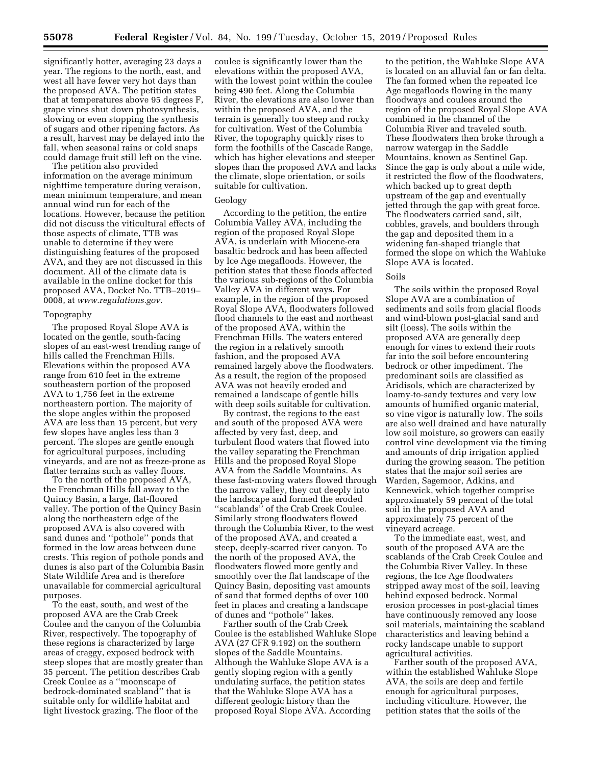significantly hotter, averaging 23 days a year. The regions to the north, east, and west all have fewer very hot days than the proposed AVA. The petition states that at temperatures above 95 degrees F, grape vines shut down photosynthesis, slowing or even stopping the synthesis of sugars and other ripening factors. As a result, harvest may be delayed into the fall, when seasonal rains or cold snaps could damage fruit still left on the vine.

The petition also provided information on the average minimum nighttime temperature during veraison, mean minimum temperature, and mean annual wind run for each of the locations. However, because the petition did not discuss the viticultural effects of those aspects of climate, TTB was unable to determine if they were distinguishing features of the proposed AVA, and they are not discussed in this document. All of the climate data is available in the online docket for this proposed AVA, Docket No. TTB–2019– 0008, at *[www.regulations.gov.](http://www.regulations.gov)* 

## Topography

The proposed Royal Slope AVA is located on the gentle, south-facing slopes of an east-west trending range of hills called the Frenchman Hills. Elevations within the proposed AVA range from 610 feet in the extreme southeastern portion of the proposed AVA to 1,756 feet in the extreme northeastern portion. The majority of the slope angles within the proposed AVA are less than 15 percent, but very few slopes have angles less than 3 percent. The slopes are gentle enough for agricultural purposes, including vineyards, and are not as freeze-prone as flatter terrains such as valley floors.

To the north of the proposed AVA, the Frenchman Hills fall away to the Quincy Basin, a large, flat-floored valley. The portion of the Quincy Basin along the northeastern edge of the proposed AVA is also covered with sand dunes and ''pothole'' ponds that formed in the low areas between dune crests. This region of pothole ponds and dunes is also part of the Columbia Basin State Wildlife Area and is therefore unavailable for commercial agricultural purposes.

To the east, south, and west of the proposed AVA are the Crab Creek Coulee and the canyon of the Columbia River, respectively. The topography of these regions is characterized by large areas of craggy, exposed bedrock with steep slopes that are mostly greater than 35 percent. The petition describes Crab Creek Coulee as a ''moonscape of bedrock-dominated scabland'' that is suitable only for wildlife habitat and light livestock grazing. The floor of the

coulee is significantly lower than the elevations within the proposed AVA, with the lowest point within the coulee being 490 feet. Along the Columbia River, the elevations are also lower than within the proposed AVA, and the terrain is generally too steep and rocky for cultivation. West of the Columbia River, the topography quickly rises to form the foothills of the Cascade Range, which has higher elevations and steeper slopes than the proposed AVA and lacks the climate, slope orientation, or soils suitable for cultivation.

## Geology

According to the petition, the entire Columbia Valley AVA, including the region of the proposed Royal Slope AVA, is underlain with Miocene-era basaltic bedrock and has been affected by Ice Age megafloods. However, the petition states that these floods affected the various sub-regions of the Columbia Valley AVA in different ways. For example, in the region of the proposed Royal Slope AVA, floodwaters followed flood channels to the east and northeast of the proposed AVA, within the Frenchman Hills. The waters entered the region in a relatively smooth fashion, and the proposed AVA remained largely above the floodwaters. As a result, the region of the proposed AVA was not heavily eroded and remained a landscape of gentle hills with deep soils suitable for cultivation.

By contrast, the regions to the east and south of the proposed AVA were affected by very fast, deep, and turbulent flood waters that flowed into the valley separating the Frenchman Hills and the proposed Royal Slope AVA from the Saddle Mountains. As these fast-moving waters flowed through the narrow valley, they cut deeply into the landscape and formed the eroded ''scablands'' of the Crab Creek Coulee. Similarly strong floodwaters flowed through the Columbia River, to the west of the proposed AVA, and created a steep, deeply-scarred river canyon. To the north of the proposed AVA, the floodwaters flowed more gently and smoothly over the flat landscape of the Quincy Basin, depositing vast amounts of sand that formed depths of over 100 feet in places and creating a landscape of dunes and ''pothole'' lakes.

Farther south of the Crab Creek Coulee is the established Wahluke Slope AVA (27 CFR 9.192) on the southern slopes of the Saddle Mountains. Although the Wahluke Slope AVA is a gently sloping region with a gently undulating surface, the petition states that the Wahluke Slope AVA has a different geologic history than the proposed Royal Slope AVA. According

to the petition, the Wahluke Slope AVA is located on an alluvial fan or fan delta. The fan formed when the repeated Ice Age megafloods flowing in the many floodways and coulees around the region of the proposed Royal Slope AVA combined in the channel of the Columbia River and traveled south. These floodwaters then broke through a narrow watergap in the Saddle Mountains, known as Sentinel Gap. Since the gap is only about a mile wide, it restricted the flow of the floodwaters, which backed up to great depth upstream of the gap and eventually jetted through the gap with great force. The floodwaters carried sand, silt, cobbles, gravels, and boulders through the gap and deposited them in a widening fan-shaped triangle that formed the slope on which the Wahluke Slope AVA is located.

#### Soils

The soils within the proposed Royal Slope AVA are a combination of sediments and soils from glacial floods and wind-blown post-glacial sand and silt (loess). The soils within the proposed AVA are generally deep enough for vines to extend their roots far into the soil before encountering bedrock or other impediment. The predominant soils are classified as Aridisols, which are characterized by loamy-to-sandy textures and very low amounts of humified organic material, so vine vigor is naturally low. The soils are also well drained and have naturally low soil moisture, so growers can easily control vine development via the timing and amounts of drip irrigation applied during the growing season. The petition states that the major soil series are Warden, Sagemoor, Adkins, and Kennewick, which together comprise approximately 59 percent of the total soil in the proposed AVA and approximately 75 percent of the vineyard acreage.

To the immediate east, west, and south of the proposed AVA are the scablands of the Crab Creek Coulee and the Columbia River Valley. In these regions, the Ice Age floodwaters stripped away most of the soil, leaving behind exposed bedrock. Normal erosion processes in post-glacial times have continuously removed any loose soil materials, maintaining the scabland characteristics and leaving behind a rocky landscape unable to support agricultural activities.

Farther south of the proposed AVA, within the established Wahluke Slope AVA, the soils are deep and fertile enough for agricultural purposes, including viticulture. However, the petition states that the soils of the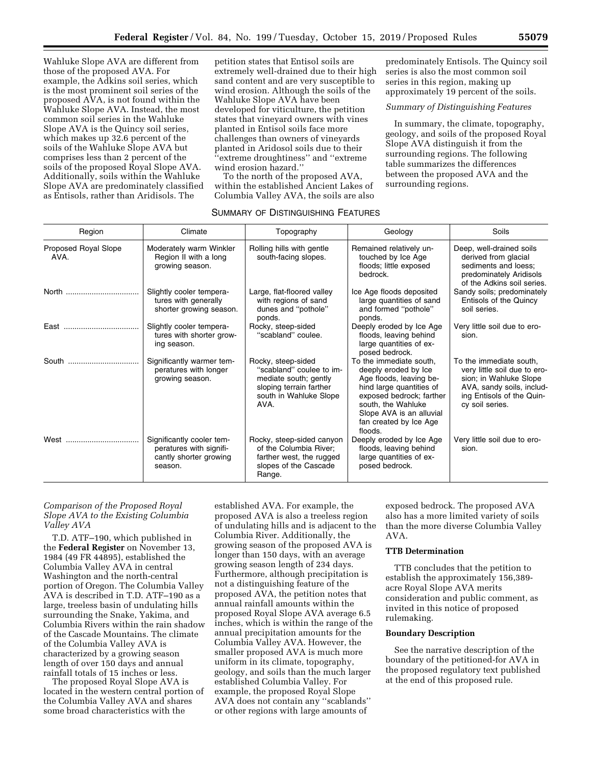Wahluke Slope AVA are different from those of the proposed AVA. For example, the Adkins soil series, which is the most prominent soil series of the proposed AVA, is not found within the Wahluke Slope AVA. Instead, the most common soil series in the Wahluke Slope AVA is the Quincy soil series, which makes up 32.6 percent of the soils of the Wahluke Slope AVA but comprises less than 2 percent of the soils of the proposed Royal Slope AVA. Additionally, soils within the Wahluke Slope AVA are predominately classified as Entisols, rather than Aridisols. The

petition states that Entisol soils are extremely well-drained due to their high sand content and are very susceptible to wind erosion. Although the soils of the Wahluke Slope AVA have been developed for viticulture, the petition states that vineyard owners with vines planted in Entisol soils face more challenges than owners of vineyards planted in Aridosol soils due to their ''extreme droughtiness'' and ''extreme wind erosion hazard.''

To the north of the proposed AVA, within the established Ancient Lakes of Columbia Valley AVA, the soils are also

## SUMMARY OF DISTINGUISHING FEATURES

predominately Entisols. The Quincy soil series is also the most common soil series in this region, making up approximately 19 percent of the soils.

## *Summary of Distinguishing Features*

In summary, the climate, topography, geology, and soils of the proposed Royal Slope AVA distinguish it from the surrounding regions. The following table summarizes the differences between the proposed AVA and the surrounding regions.

| Region                       | Climate                                                                                   | Topography                                                                                                                           | Geology                                                                                                                                                                                                                   | Soils                                                                                                                                                          |  |  |  |  |
|------------------------------|-------------------------------------------------------------------------------------------|--------------------------------------------------------------------------------------------------------------------------------------|---------------------------------------------------------------------------------------------------------------------------------------------------------------------------------------------------------------------------|----------------------------------------------------------------------------------------------------------------------------------------------------------------|--|--|--|--|
| Proposed Royal Slope<br>AVA. | Moderately warm Winkler<br>Region II with a long<br>growing season.                       | Rolling hills with gentle<br>south-facing slopes.                                                                                    | Remained relatively un-<br>touched by Ice Age<br>floods; little exposed<br>bedrock.                                                                                                                                       | Deep, well-drained soils<br>derived from glacial<br>sediments and loess;<br>predominately Aridisols<br>of the Adkins soil series.                              |  |  |  |  |
| North                        | Slightly cooler tempera-<br>tures with generally<br>shorter growing season.               | Large, flat-floored valley<br>with regions of sand<br>dunes and "pothole"<br>ponds.                                                  | Ice Age floods deposited<br>large quantities of sand<br>and formed "pothole"<br>ponds.                                                                                                                                    | Sandy soils; predominately<br>Entisols of the Quincy<br>soil series.                                                                                           |  |  |  |  |
|                              | Slightly cooler tempera-<br>tures with shorter grow-<br>ing season.                       | Rocky, steep-sided<br>"scabland" coulee.                                                                                             | Deeply eroded by Ice Age<br>floods, leaving behind<br>large quantities of ex-<br>posed bedrock.                                                                                                                           | Very little soil due to ero-<br>sion.                                                                                                                          |  |  |  |  |
| South                        | Significantly warmer tem-<br>peratures with longer<br>growing season.                     | Rocky, steep-sided<br>"scabland" coulee to im-<br>mediate south; gently<br>sloping terrain farther<br>south in Wahluke Slope<br>AVA. | To the immediate south.<br>deeply eroded by Ice<br>Age floods, leaving be-<br>hind large quantities of<br>exposed bedrock; farther<br>south, the Wahluke<br>Slope AVA is an alluvial<br>fan created by Ice Age<br>floods. | To the immediate south.<br>very little soil due to ero-<br>sion; in Wahluke Slope<br>AVA, sandy soils, includ-<br>ing Entisols of the Quin-<br>cy soil series. |  |  |  |  |
| West                         | Significantly cooler tem-<br>peratures with signifi-<br>cantly shorter growing<br>season. | Rocky, steep-sided canyon<br>of the Columbia River;<br>farther west, the rugged<br>slopes of the Cascade<br>Range.                   | Deeply eroded by Ice Age<br>floods, leaving behind<br>large quantities of ex-<br>posed bedrock.                                                                                                                           | Very little soil due to ero-<br>sion.                                                                                                                          |  |  |  |  |

## *Comparison of the Proposed Royal Slope AVA to the Existing Columbia Valley AVA*

T.D. ATF–190, which published in the **Federal Register** on November 13, 1984 (49 FR 44895), established the Columbia Valley AVA in central Washington and the north-central portion of Oregon. The Columbia Valley AVA is described in T.D. ATF–190 as a large, treeless basin of undulating hills surrounding the Snake, Yakima, and Columbia Rivers within the rain shadow of the Cascade Mountains. The climate of the Columbia Valley AVA is characterized by a growing season length of over 150 days and annual rainfall totals of 15 inches or less.

The proposed Royal Slope AVA is located in the western central portion of the Columbia Valley AVA and shares some broad characteristics with the

established AVA. For example, the proposed AVA is also a treeless region of undulating hills and is adjacent to the Columbia River. Additionally, the growing season of the proposed AVA is longer than 150 days, with an average growing season length of 234 days. Furthermore, although precipitation is not a distinguishing feature of the proposed AVA, the petition notes that annual rainfall amounts within the proposed Royal Slope AVA average 6.5 inches, which is within the range of the annual precipitation amounts for the Columbia Valley AVA. However, the smaller proposed AVA is much more uniform in its climate, topography, geology, and soils than the much larger established Columbia Valley. For example, the proposed Royal Slope AVA does not contain any ''scablands'' or other regions with large amounts of

exposed bedrock. The proposed AVA also has a more limited variety of soils than the more diverse Columbia Valley AVA.

## **TTB Determination**

TTB concludes that the petition to establish the approximately 156,389 acre Royal Slope AVA merits consideration and public comment, as invited in this notice of proposed rulemaking.

## **Boundary Description**

See the narrative description of the boundary of the petitioned-for AVA in the proposed regulatory text published at the end of this proposed rule.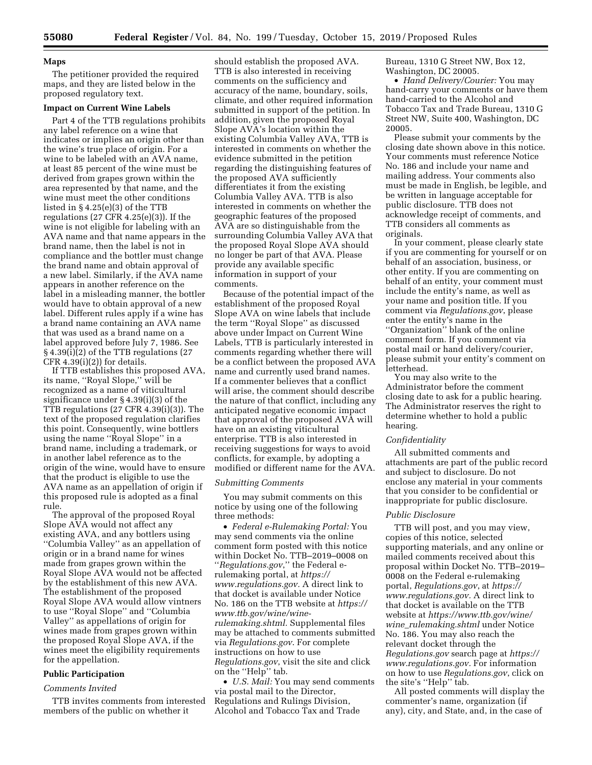## **Maps**

The petitioner provided the required maps, and they are listed below in the proposed regulatory text.

#### **Impact on Current Wine Labels**

Part 4 of the TTB regulations prohibits any label reference on a wine that indicates or implies an origin other than the wine's true place of origin. For a wine to be labeled with an AVA name, at least 85 percent of the wine must be derived from grapes grown within the area represented by that name, and the wine must meet the other conditions listed in § 4.25(e)(3) of the TTB regulations (27 CFR 4.25(e)(3)). If the wine is not eligible for labeling with an AVA name and that name appears in the brand name, then the label is not in compliance and the bottler must change the brand name and obtain approval of a new label. Similarly, if the AVA name appears in another reference on the label in a misleading manner, the bottler would have to obtain approval of a new label. Different rules apply if a wine has a brand name containing an AVA name that was used as a brand name on a label approved before July 7, 1986. See § 4.39(i)(2) of the TTB regulations (27 CFR  $4.39(i)(2)$  for details.

If TTB establishes this proposed AVA, its name, ''Royal Slope,'' will be recognized as a name of viticultural significance under § 4.39(i)(3) of the TTB regulations (27 CFR 4.39(i)(3)). The text of the proposed regulation clarifies this point. Consequently, wine bottlers using the name ''Royal Slope'' in a brand name, including a trademark, or in another label reference as to the origin of the wine, would have to ensure that the product is eligible to use the AVA name as an appellation of origin if this proposed rule is adopted as a final rule.

The approval of the proposed Royal Slope AVA would not affect any existing AVA, and any bottlers using ''Columbia Valley'' as an appellation of origin or in a brand name for wines made from grapes grown within the Royal Slope AVA would not be affected by the establishment of this new AVA. The establishment of the proposed Royal Slope AVA would allow vintners to use ''Royal Slope'' and ''Columbia Valley'' as appellations of origin for wines made from grapes grown within the proposed Royal Slope AVA, if the wines meet the eligibility requirements for the appellation.

## **Public Participation**

## *Comments Invited*

TTB invites comments from interested members of the public on whether it

should establish the proposed AVA. TTB is also interested in receiving comments on the sufficiency and accuracy of the name, boundary, soils, climate, and other required information submitted in support of the petition. In addition, given the proposed Royal Slope AVA's location within the existing Columbia Valley AVA, TTB is interested in comments on whether the evidence submitted in the petition regarding the distinguishing features of the proposed AVA sufficiently differentiates it from the existing Columbia Valley AVA. TTB is also interested in comments on whether the geographic features of the proposed AVA are so distinguishable from the surrounding Columbia Valley AVA that the proposed Royal Slope AVA should no longer be part of that AVA. Please provide any available specific information in support of your comments.

Because of the potential impact of the establishment of the proposed Royal Slope AVA on wine labels that include the term ''Royal Slope'' as discussed above under Impact on Current Wine Labels, TTB is particularly interested in comments regarding whether there will be a conflict between the proposed AVA name and currently used brand names. If a commenter believes that a conflict will arise, the comment should describe the nature of that conflict, including any anticipated negative economic impact that approval of the proposed AVA will have on an existing viticultural enterprise. TTB is also interested in receiving suggestions for ways to avoid conflicts, for example, by adopting a modified or different name for the AVA.

## *Submitting Comments*

You may submit comments on this notice by using one of the following three methods:

• *Federal e-Rulemaking Portal:* You may send comments via the online comment form posted with this notice within Docket No. TTB–2019–0008 on ''*Regulations.gov*,'' the Federal erulemaking portal, at *[https://](https://www.regulations.gov) [www.regulations.gov.](https://www.regulations.gov)* A direct link to that docket is available under Notice No. 186 on the TTB website at *[https://](https://www.ttb.gov/wine/wine-rulemaking.shtml)  [www.ttb.gov/wine/wine](https://www.ttb.gov/wine/wine-rulemaking.shtml)[rulemaking.shtml.](https://www.ttb.gov/wine/wine-rulemaking.shtml)* Supplemental files may be attached to comments submitted via *Regulations.gov*. For complete instructions on how to use *Regulations.gov*, visit the site and click on the "Help" tab.

• *U.S. Mail:* You may send comments via postal mail to the Director, Regulations and Rulings Division, Alcohol and Tobacco Tax and Trade

Bureau, 1310 G Street NW, Box 12, Washington, DC 20005.

• *Hand Delivery/Courier:* You may hand-carry your comments or have them hand-carried to the Alcohol and Tobacco Tax and Trade Bureau, 1310 G Street NW, Suite 400, Washington, DC 20005.

Please submit your comments by the closing date shown above in this notice. Your comments must reference Notice No. 186 and include your name and mailing address. Your comments also must be made in English, be legible, and be written in language acceptable for public disclosure. TTB does not acknowledge receipt of comments, and TTB considers all comments as originals.

In your comment, please clearly state if you are commenting for yourself or on behalf of an association, business, or other entity. If you are commenting on behalf of an entity, your comment must include the entity's name, as well as your name and position title. If you comment via *Regulations.gov*, please enter the entity's name in the ''Organization'' blank of the online comment form. If you comment via postal mail or hand delivery/courier, please submit your entity's comment on letterhead.

You may also write to the Administrator before the comment closing date to ask for a public hearing. The Administrator reserves the right to determine whether to hold a public hearing.

## *Confidentiality*

All submitted comments and attachments are part of the public record and subject to disclosure. Do not enclose any material in your comments that you consider to be confidential or inappropriate for public disclosure.

#### *Public Disclosure*

TTB will post, and you may view, copies of this notice, selected supporting materials, and any online or mailed comments received about this proposal within Docket No. TTB–2019– 0008 on the Federal e-rulemaking portal, *Regulations.gov*, at *[https://](https://www.regulations.gov) [www.regulations.gov.](https://www.regulations.gov)* A direct link to that docket is available on the TTB website at *[https://www.ttb.gov/wine/](https://www.ttb.gov/wine/wine_rulemaking.shtml)  wine*\_*[rulemaking.shtml](https://www.ttb.gov/wine/wine_rulemaking.shtml)* under Notice No. 186. You may also reach the relevant docket through the *Regulations.gov* search page at *[https://](https://www.regulations.gov) [www.regulations.gov.](https://www.regulations.gov)* For information on how to use *Regulations.gov*, click on the site's ''Help'' tab.

All posted comments will display the commenter's name, organization (if any), city, and State, and, in the case of